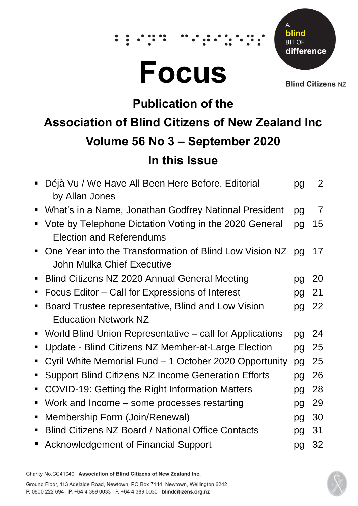# **Focus**

 $\dddot{\bullet}$ 



**Blind Citizens NZ** 

# **Publication of the**

## **Association of Blind Citizens of New Zealand Inc Volume 56 No 3 – September 2020**

## **In this Issue**

| pg | 2              |
|----|----------------|
| pg | $\overline{7}$ |
| pg | 15             |
| pq | 17             |
| pg | 20             |
| pg | 21             |
| pg | 22             |
|    |                |
| pg | 24             |
| pg | 25             |
| pg | 25             |
| pg | 26             |
| pg | 28             |
| pg | 29             |
| pg | 30             |
| pg | 31             |
| pg | 32             |
|    |                |

Charity No.CC41040 Association of Blind Citizens of New Zealand Inc.

Ground Floor, 113 Adelaide Road, Newtown, PO Box 7144, Newtown, Wellington 6242 P. 0800 222 694 P. +64 4 389 0033 F. +64 4 389 0030 blindcitizens.org.nz

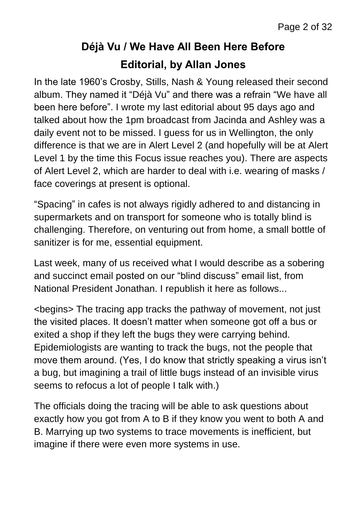## **Déjà Vu / We Have All Been Here Before Editorial, by Allan Jones**

In the late 1960's Crosby, Stills, Nash & Young released their second album. They named it "Déjà Vu" and there was a refrain "We have all been here before". I wrote my last editorial about 95 days ago and talked about how the 1pm broadcast from Jacinda and Ashley was a daily event not to be missed. I guess for us in Wellington, the only difference is that we are in Alert Level 2 (and hopefully will be at Alert Level 1 by the time this Focus issue reaches you). There are aspects of Alert Level 2, which are harder to deal with i.e. wearing of masks / face coverings at present is optional.

"Spacing" in cafes is not always rigidly adhered to and distancing in supermarkets and on transport for someone who is totally blind is challenging. Therefore, on venturing out from home, a small bottle of sanitizer is for me, essential equipment.

Last week, many of us received what I would describe as a sobering and succinct email posted on our "blind discuss" email list, from National President Jonathan. I republish it here as follows...

<begins> The tracing app tracks the pathway of movement, not just the visited places. It doesn't matter when someone got off a bus or exited a shop if they left the bugs they were carrying behind. Epidemiologists are wanting to track the bugs, not the people that move them around. (Yes, I do know that strictly speaking a virus isn't a bug, but imagining a trail of little bugs instead of an invisible virus seems to refocus a lot of people I talk with.)

The officials doing the tracing will be able to ask questions about exactly how you got from A to B if they know you went to both A and B. Marrying up two systems to trace movements is inefficient, but imagine if there were even more systems in use.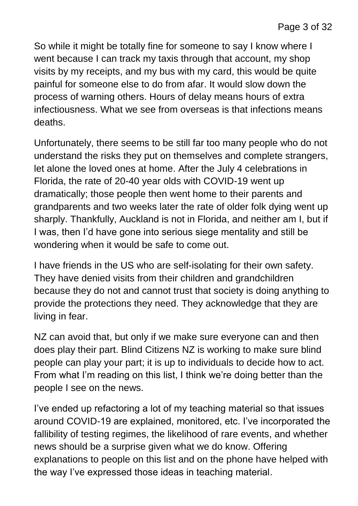So while it might be totally fine for someone to say I know where I went because I can track my taxis through that account, my shop visits by my receipts, and my bus with my card, this would be quite painful for someone else to do from afar. It would slow down the process of warning others. Hours of delay means hours of extra infectiousness. What we see from overseas is that infections means deaths.

Unfortunately, there seems to be still far too many people who do not understand the risks they put on themselves and complete strangers, let alone the loved ones at home. After the July 4 celebrations in Florida, the rate of 20-40 year olds with COVID-19 went up dramatically; those people then went home to their parents and grandparents and two weeks later the rate of older folk dying went up sharply. Thankfully, Auckland is not in Florida, and neither am I, but if I was, then I'd have gone into serious siege mentality and still be wondering when it would be safe to come out.

I have friends in the US who are self-isolating for their own safety. They have denied visits from their children and grandchildren because they do not and cannot trust that society is doing anything to provide the protections they need. They acknowledge that they are living in fear.

NZ can avoid that, but only if we make sure everyone can and then does play their part. Blind Citizens NZ is working to make sure blind people can play your part; it is up to individuals to decide how to act. From what I'm reading on this list, I think we're doing better than the people I see on the news.

I've ended up refactoring a lot of my teaching material so that issues around COVID-19 are explained, monitored, etc. I've incorporated the fallibility of testing regimes, the likelihood of rare events, and whether news should be a surprise given what we do know. Offering explanations to people on this list and on the phone have helped with the way I've expressed those ideas in teaching material.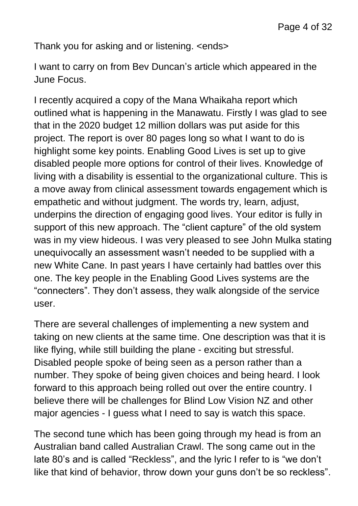Thank you for asking and or listening. <ends>

I want to carry on from Bev Duncan's article which appeared in the June Focus.

I recently acquired a copy of the Mana Whaikaha report which outlined what is happening in the Manawatu. Firstly I was glad to see that in the 2020 budget 12 million dollars was put aside for this project. The report is over 80 pages long so what I want to do is highlight some key points. Enabling Good Lives is set up to give disabled people more options for control of their lives. Knowledge of living with a disability is essential to the organizational culture. This is a move away from clinical assessment towards engagement which is empathetic and without judgment. The words try, learn, adjust, underpins the direction of engaging good lives. Your editor is fully in support of this new approach. The "client capture" of the old system was in my view hideous. I was very pleased to see John Mulka stating unequivocally an assessment wasn't needed to be supplied with a new White Cane. In past years I have certainly had battles over this one. The key people in the Enabling Good Lives systems are the "connecters". They don't assess, they walk alongside of the service user.

There are several challenges of implementing a new system and taking on new clients at the same time. One description was that it is like flying, while still building the plane - exciting but stressful. Disabled people spoke of being seen as a person rather than a number. They spoke of being given choices and being heard. I look forward to this approach being rolled out over the entire country. I believe there will be challenges for Blind Low Vision NZ and other major agencies - I guess what I need to say is watch this space.

The second tune which has been going through my head is from an Australian band called Australian Crawl. The song came out in the late 80's and is called "Reckless", and the lyric I refer to is "we don't like that kind of behavior, throw down your guns don't be so reckless".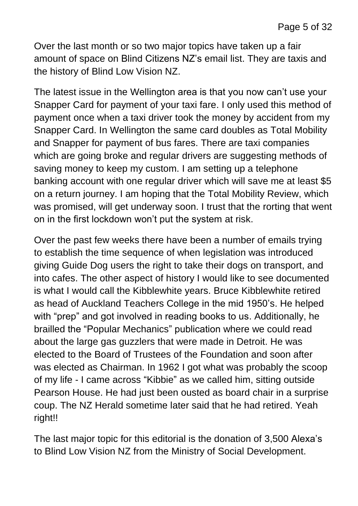Over the last month or so two major topics have taken up a fair amount of space on Blind Citizens NZ's email list. They are taxis and the history of Blind Low Vision NZ.

The latest issue in the Wellington area is that you now can't use your Snapper Card for payment of your taxi fare. I only used this method of payment once when a taxi driver took the money by accident from my Snapper Card. In Wellington the same card doubles as Total Mobility and Snapper for payment of bus fares. There are taxi companies which are going broke and regular drivers are suggesting methods of saving money to keep my custom. I am setting up a telephone banking account with one regular driver which will save me at least \$5 on a return journey. I am hoping that the Total Mobility Review, which was promised, will get underway soon. I trust that the rorting that went on in the first lockdown won't put the system at risk.

Over the past few weeks there have been a number of emails trying to establish the time sequence of when legislation was introduced giving Guide Dog users the right to take their dogs on transport, and into cafes. The other aspect of history I would like to see documented is what I would call the Kibblewhite years. Bruce Kibblewhite retired as head of Auckland Teachers College in the mid 1950's. He helped with "prep" and got involved in reading books to us. Additionally, he brailled the "Popular Mechanics" publication where we could read about the large gas guzzlers that were made in Detroit. He was elected to the Board of Trustees of the Foundation and soon after was elected as Chairman. In 1962 I got what was probably the scoop of my life - I came across "Kibbie" as we called him, sitting outside Pearson House. He had just been ousted as board chair in a surprise coup. The NZ Herald sometime later said that he had retired. Yeah right!!

The last major topic for this editorial is the donation of 3,500 Alexa's to Blind Low Vision NZ from the Ministry of Social Development.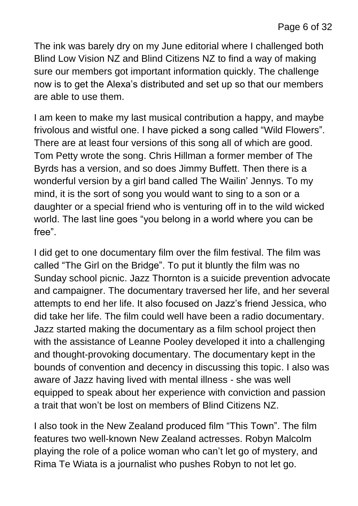The ink was barely dry on my June editorial where I challenged both Blind Low Vision NZ and Blind Citizens NZ to find a way of making sure our members got important information quickly. The challenge now is to get the Alexa's distributed and set up so that our members are able to use them.

I am keen to make my last musical contribution a happy, and maybe frivolous and wistful one. I have picked a song called "Wild Flowers". There are at least four versions of this song all of which are good. Tom Petty wrote the song. Chris Hillman a former member of The Byrds has a version, and so does Jimmy Buffett. Then there is a wonderful version by a girl band called The Wailin' Jennys. To my mind, it is the sort of song you would want to sing to a son or a daughter or a special friend who is venturing off in to the wild wicked world. The last line goes "you belong in a world where you can be free".

I did get to one documentary film over the film festival. The film was called "The Girl on the Bridge". To put it bluntly the film was no Sunday school picnic. Jazz Thornton is a suicide prevention advocate and campaigner. The documentary traversed her life, and her several attempts to end her life. It also focused on Jazz's friend Jessica, who did take her life. The film could well have been a radio documentary. Jazz started making the documentary as a film school project then with the assistance of Leanne Pooley developed it into a challenging and thought-provoking documentary. The documentary kept in the bounds of convention and decency in discussing this topic. I also was aware of Jazz having lived with mental illness - she was well equipped to speak about her experience with conviction and passion a trait that won't be lost on members of Blind Citizens NZ.

I also took in the New Zealand produced film "This Town". The film features two well-known New Zealand actresses. Robyn Malcolm playing the role of a police woman who can't let go of mystery, and Rima Te Wiata is a journalist who pushes Robyn to not let go.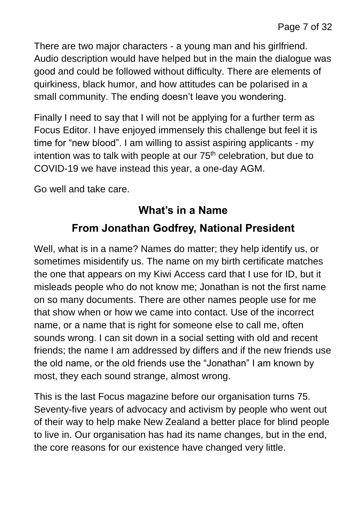There are two major characters - a young man and his girlfriend. Audio description would have helped but in the main the dialogue was good and could be followed without difficulty. There are elements of quirkiness, black humor, and how attitudes can be polarised in a small community. The ending doesn't leave you wondering.

Finally I need to say that I will not be applying for a further term as Focus Editor. I have enjoyed immensely this challenge but feel it is time for "new blood". I am willing to assist aspiring applicants - my intention was to talk with people at our 75<sup>th</sup> celebration, but due to COVID-19 we have instead this year, a one-day AGM.

Go well and take care.

#### **What's in a Name**

## **From Jonathan Godfrey, National President**

Well, what is in a name? Names do matter; they help identify us, or sometimes misidentify us. The name on my birth certificate matches the one that appears on my Kiwi Access card that I use for ID, but it misleads people who do not know me; Jonathan is not the first name on so many documents. There are other names people use for me that show when or how we came into contact. Use of the incorrect name, or a name that is right for someone else to call me, often sounds wrong. I can sit down in a social setting with old and recent friends; the name I am addressed by differs and if the new friends use the old name, or the old friends use the "Jonathan" I am known by most, they each sound strange, almost wrong.

This is the last Focus magazine before our organisation turns 75. Seventy-five years of advocacy and activism by people who went out of their way to help make New Zealand a better place for blind people to live in. Our organisation has had its name changes, but in the end, the core reasons for our existence have changed very little.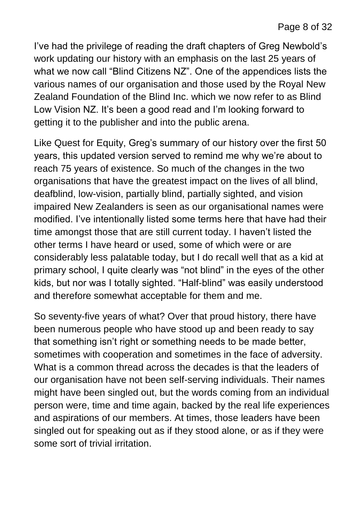I've had the privilege of reading the draft chapters of Greg Newbold's work updating our history with an emphasis on the last 25 years of what we now call "Blind Citizens NZ". One of the appendices lists the various names of our organisation and those used by the Royal New Zealand Foundation of the Blind Inc. which we now refer to as Blind Low Vision NZ. It's been a good read and I'm looking forward to getting it to the publisher and into the public arena.

Like Quest for Equity, Greg's summary of our history over the first 50 years, this updated version served to remind me why we're about to reach 75 years of existence. So much of the changes in the two organisations that have the greatest impact on the lives of all blind, deafblind, low-vision, partially blind, partially sighted, and vision impaired New Zealanders is seen as our organisational names were modified. I've intentionally listed some terms here that have had their time amongst those that are still current today. I haven't listed the other terms I have heard or used, some of which were or are considerably less palatable today, but I do recall well that as a kid at primary school, I quite clearly was "not blind" in the eyes of the other kids, but nor was I totally sighted. "Half-blind" was easily understood and therefore somewhat acceptable for them and me.

So seventy-five years of what? Over that proud history, there have been numerous people who have stood up and been ready to say that something isn't right or something needs to be made better, sometimes with cooperation and sometimes in the face of adversity. What is a common thread across the decades is that the leaders of our organisation have not been self-serving individuals. Their names might have been singled out, but the words coming from an individual person were, time and time again, backed by the real life experiences and aspirations of our members. At times, those leaders have been singled out for speaking out as if they stood alone, or as if they were some sort of trivial irritation.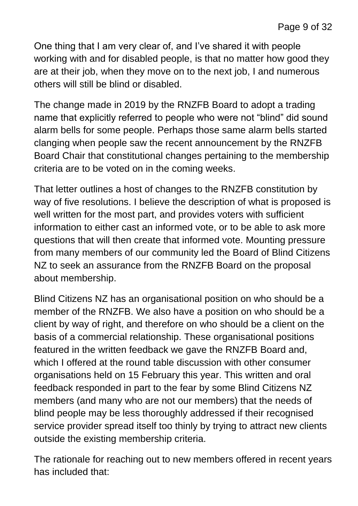One thing that I am very clear of, and I've shared it with people working with and for disabled people, is that no matter how good they are at their job, when they move on to the next job, I and numerous others will still be blind or disabled.

The change made in 2019 by the RNZFB Board to adopt a trading name that explicitly referred to people who were not "blind" did sound alarm bells for some people. Perhaps those same alarm bells started clanging when people saw the recent announcement by the RNZFB Board Chair that constitutional changes pertaining to the membership criteria are to be voted on in the coming weeks.

That letter outlines a host of changes to the RNZFB constitution by way of five resolutions. I believe the description of what is proposed is well written for the most part, and provides voters with sufficient information to either cast an informed vote, or to be able to ask more questions that will then create that informed vote. Mounting pressure from many members of our community led the Board of Blind Citizens NZ to seek an assurance from the RNZFB Board on the proposal about membership.

Blind Citizens NZ has an organisational position on who should be a member of the RNZFB. We also have a position on who should be a client by way of right, and therefore on who should be a client on the basis of a commercial relationship. These organisational positions featured in the written feedback we gave the RNZFB Board and, which I offered at the round table discussion with other consumer organisations held on 15 February this year. This written and oral feedback responded in part to the fear by some Blind Citizens NZ members (and many who are not our members) that the needs of blind people may be less thoroughly addressed if their recognised service provider spread itself too thinly by trying to attract new clients outside the existing membership criteria.

The rationale for reaching out to new members offered in recent years has included that: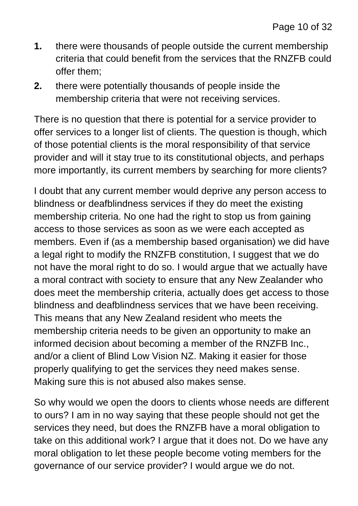- **1.** there were thousands of people outside the current membership criteria that could benefit from the services that the RNZFB could offer them;
- **2.** there were potentially thousands of people inside the membership criteria that were not receiving services.

There is no question that there is potential for a service provider to offer services to a longer list of clients. The question is though, which of those potential clients is the moral responsibility of that service provider and will it stay true to its constitutional objects, and perhaps more importantly, its current members by searching for more clients?

I doubt that any current member would deprive any person access to blindness or deafblindness services if they do meet the existing membership criteria. No one had the right to stop us from gaining access to those services as soon as we were each accepted as members. Even if (as a membership based organisation) we did have a legal right to modify the RNZFB constitution, I suggest that we do not have the moral right to do so. I would argue that we actually have a moral contract with society to ensure that any New Zealander who does meet the membership criteria, actually does get access to those blindness and deafblindness services that we have been receiving. This means that any New Zealand resident who meets the membership criteria needs to be given an opportunity to make an informed decision about becoming a member of the RNZFB Inc., and/or a client of Blind Low Vision NZ. Making it easier for those properly qualifying to get the services they need makes sense. Making sure this is not abused also makes sense.

So why would we open the doors to clients whose needs are different to ours? I am in no way saying that these people should not get the services they need, but does the RNZFB have a moral obligation to take on this additional work? I argue that it does not. Do we have any moral obligation to let these people become voting members for the governance of our service provider? I would argue we do not.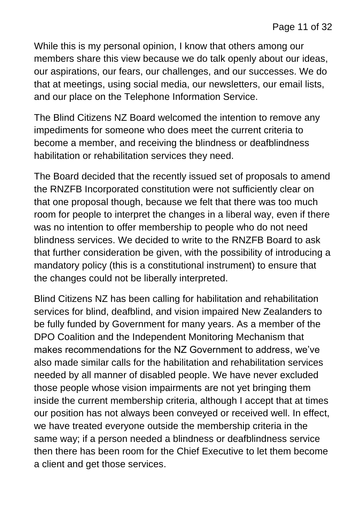While this is my personal opinion, I know that others among our members share this view because we do talk openly about our ideas, our aspirations, our fears, our challenges, and our successes. We do that at meetings, using social media, our newsletters, our email lists, and our place on the Telephone Information Service.

The Blind Citizens NZ Board welcomed the intention to remove any impediments for someone who does meet the current criteria to become a member, and receiving the blindness or deafblindness habilitation or rehabilitation services they need.

The Board decided that the recently issued set of proposals to amend the RNZFB Incorporated constitution were not sufficiently clear on that one proposal though, because we felt that there was too much room for people to interpret the changes in a liberal way, even if there was no intention to offer membership to people who do not need blindness services. We decided to write to the RNZFB Board to ask that further consideration be given, with the possibility of introducing a mandatory policy (this is a constitutional instrument) to ensure that the changes could not be liberally interpreted.

Blind Citizens NZ has been calling for habilitation and rehabilitation services for blind, deafblind, and vision impaired New Zealanders to be fully funded by Government for many years. As a member of the DPO Coalition and the Independent Monitoring Mechanism that makes recommendations for the NZ Government to address, we've also made similar calls for the habilitation and rehabilitation services needed by all manner of disabled people. We have never excluded those people whose vision impairments are not yet bringing them inside the current membership criteria, although I accept that at times our position has not always been conveyed or received well. In effect, we have treated everyone outside the membership criteria in the same way; if a person needed a blindness or deafblindness service then there has been room for the Chief Executive to let them become a client and get those services.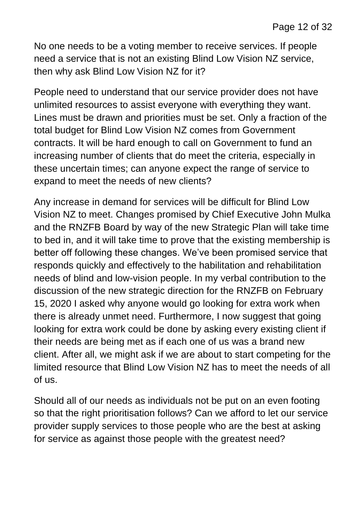No one needs to be a voting member to receive services. If people need a service that is not an existing Blind Low Vision NZ service, then why ask Blind Low Vision NZ for it?

People need to understand that our service provider does not have unlimited resources to assist everyone with everything they want. Lines must be drawn and priorities must be set. Only a fraction of the total budget for Blind Low Vision NZ comes from Government contracts. It will be hard enough to call on Government to fund an increasing number of clients that do meet the criteria, especially in these uncertain times; can anyone expect the range of service to expand to meet the needs of new clients?

Any increase in demand for services will be difficult for Blind Low Vision NZ to meet. Changes promised by Chief Executive John Mulka and the RNZFB Board by way of the new Strategic Plan will take time to bed in, and it will take time to prove that the existing membership is better off following these changes. We've been promised service that responds quickly and effectively to the habilitation and rehabilitation needs of blind and low-vision people. In my verbal contribution to the discussion of the new strategic direction for the RNZFB on February 15, 2020 I asked why anyone would go looking for extra work when there is already unmet need. Furthermore, I now suggest that going looking for extra work could be done by asking every existing client if their needs are being met as if each one of us was a brand new client. After all, we might ask if we are about to start competing for the limited resource that Blind Low Vision NZ has to meet the needs of all of us.

Should all of our needs as individuals not be put on an even footing so that the right prioritisation follows? Can we afford to let our service provider supply services to those people who are the best at asking for service as against those people with the greatest need?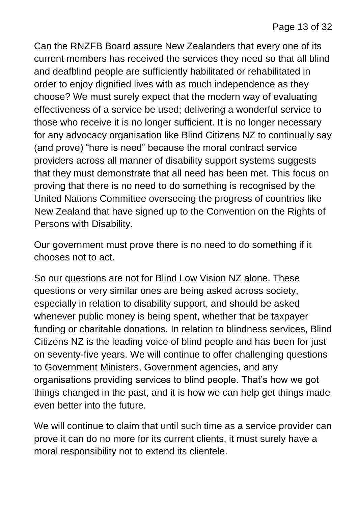Can the RNZFB Board assure New Zealanders that every one of its current members has received the services they need so that all blind and deafblind people are sufficiently habilitated or rehabilitated in order to enjoy dignified lives with as much independence as they choose? We must surely expect that the modern way of evaluating effectiveness of a service be used; delivering a wonderful service to those who receive it is no longer sufficient. It is no longer necessary for any advocacy organisation like Blind Citizens NZ to continually say (and prove) "here is need" because the moral contract service providers across all manner of disability support systems suggests that they must demonstrate that all need has been met. This focus on proving that there is no need to do something is recognised by the United Nations Committee overseeing the progress of countries like New Zealand that have signed up to the Convention on the Rights of Persons with Disability.

Our government must prove there is no need to do something if it chooses not to act.

So our questions are not for Blind Low Vision NZ alone. These questions or very similar ones are being asked across society, especially in relation to disability support, and should be asked whenever public money is being spent, whether that be taxpayer funding or charitable donations. In relation to blindness services, Blind Citizens NZ is the leading voice of blind people and has been for just on seventy-five years. We will continue to offer challenging questions to Government Ministers, Government agencies, and any organisations providing services to blind people. That's how we got things changed in the past, and it is how we can help get things made even better into the future.

We will continue to claim that until such time as a service provider can prove it can do no more for its current clients, it must surely have a moral responsibility not to extend its clientele.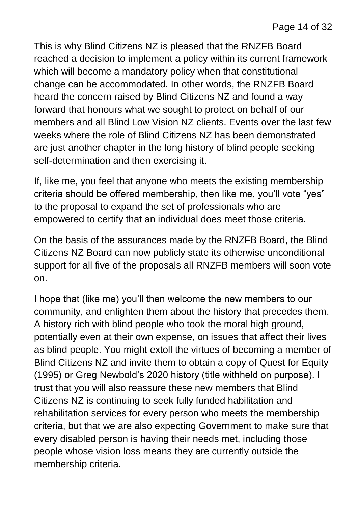This is why Blind Citizens NZ is pleased that the RNZFB Board reached a decision to implement a policy within its current framework which will become a mandatory policy when that constitutional change can be accommodated. In other words, the RNZFB Board heard the concern raised by Blind Citizens NZ and found a way forward that honours what we sought to protect on behalf of our members and all Blind Low Vision NZ clients. Events over the last few weeks where the role of Blind Citizens NZ has been demonstrated are just another chapter in the long history of blind people seeking self-determination and then exercising it.

If, like me, you feel that anyone who meets the existing membership criteria should be offered membership, then like me, you'll vote "yes" to the proposal to expand the set of professionals who are empowered to certify that an individual does meet those criteria.

On the basis of the assurances made by the RNZFB Board, the Blind Citizens NZ Board can now publicly state its otherwise unconditional support for all five of the proposals all RNZFB members will soon vote on.

I hope that (like me) you'll then welcome the new members to our community, and enlighten them about the history that precedes them. A history rich with blind people who took the moral high ground, potentially even at their own expense, on issues that affect their lives as blind people. You might extoll the virtues of becoming a member of Blind Citizens NZ and invite them to obtain a copy of Quest for Equity (1995) or Greg Newbold's 2020 history (title withheld on purpose). I trust that you will also reassure these new members that Blind Citizens NZ is continuing to seek fully funded habilitation and rehabilitation services for every person who meets the membership criteria, but that we are also expecting Government to make sure that every disabled person is having their needs met, including those people whose vision loss means they are currently outside the membership criteria.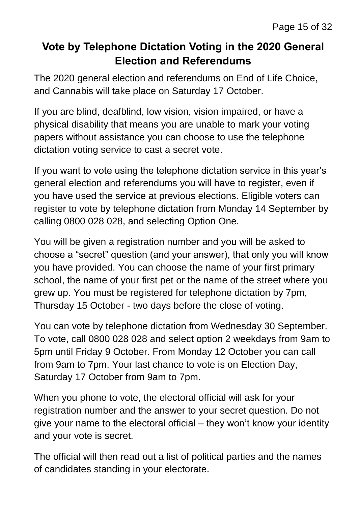## **Vote by Telephone Dictation Voting in the 2020 General Election and Referendums**

The 2020 general election and referendums on End of Life Choice, and Cannabis will take place on Saturday 17 October.

If you are blind, deafblind, low vision, vision impaired, or have a physical disability that means you are unable to mark your voting papers without assistance you can choose to use the telephone dictation voting service to cast a secret vote.

If you want to vote using the telephone dictation service in this year's general election and referendums you will have to register, even if you have used the service at previous elections. Eligible voters can register to vote by telephone dictation from Monday 14 September by calling 0800 028 028, and selecting Option One.

You will be given a registration number and you will be asked to choose a "secret" question (and your answer), that only you will know you have provided. You can choose the name of your first primary school, the name of your first pet or the name of the street where you grew up. You must be registered for telephone dictation by 7pm, Thursday 15 October - two days before the close of voting.

You can vote by telephone dictation from Wednesday 30 September. To vote, call 0800 028 028 and select option 2 weekdays from 9am to 5pm until Friday 9 October. From Monday 12 October you can call from 9am to 7pm. Your last chance to vote is on Election Day, Saturday 17 October from 9am to 7pm.

When you phone to vote, the electoral official will ask for your registration number and the answer to your secret question. Do not give your name to the electoral official – they won't know your identity and your vote is secret.

The official will then read out a list of political parties and the names of candidates standing in your electorate.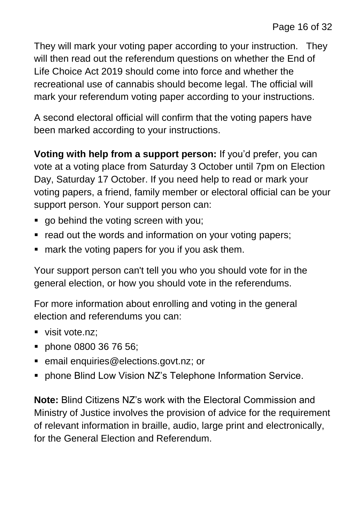They will mark your voting paper according to your instruction. They will then read out the referendum questions on whether the End of Life Choice Act 2019 should come into force and whether the recreational use of cannabis should become legal. The official will mark your referendum voting paper according to your instructions.

A second electoral official will confirm that the voting papers have been marked according to your instructions.

**Voting with help from a support person:** If you'd prefer, you can vote at a voting place from Saturday 3 October until 7pm on Election Day, Saturday 17 October. If you need help to read or mark your voting papers, a friend, family member or electoral official can be your support person. Your support person can:

- go behind the voting screen with you;
- **•** read out the words and information on your voting papers;
- **F** mark the voting papers for you if you ask them.

Your support person can't tell you who you should vote for in the general election, or how you should vote in the referendums.

For more information about enrolling and voting in the general election and referendums you can:

- visit vote.nz:
- **phone 0800 36 76 56;**
- **EXECTE:** email [enquiries@elections.govt.nz;](mailto:enquiries@elections.govt.nz) or
- phone Blind Low Vision NZ's Telephone Information Service.

**Note:** Blind Citizens NZ's work with the Electoral Commission and Ministry of Justice involves the provision of advice for the requirement of relevant information in braille, audio, large print and electronically, for the General Election and Referendum.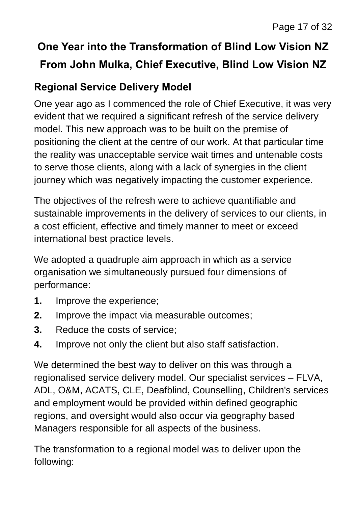## **One Year into the Transformation of Blind Low Vision NZ From John Mulka, Chief Executive, Blind Low Vision NZ**

## **Regional Service Delivery Model**

One year ago as I commenced the role of Chief Executive, it was very evident that we required a significant refresh of the service delivery model. This new approach was to be built on the premise of positioning the client at the centre of our work. At that particular time the reality was unacceptable service wait times and untenable costs to serve those clients, along with a lack of synergies in the client journey which was negatively impacting the customer experience.

The objectives of the refresh were to achieve quantifiable and sustainable improvements in the delivery of services to our clients, in a cost efficient, effective and timely manner to meet or exceed international best practice levels.

We adopted a quadruple aim approach in which as a service organisation we simultaneously pursued four dimensions of performance:

- **1.** Improve the experience;
- **2.** Improve the impact via measurable outcomes;
- **3.** Reduce the costs of service;
- **4.** Improve not only the client but also staff satisfaction.

We determined the best way to deliver on this was through a regionalised service delivery model. Our specialist services – FLVA, ADL, O&M, ACATS, CLE, Deafblind, Counselling, Children's services and employment would be provided within defined geographic regions, and oversight would also occur via geography based Managers responsible for all aspects of the business.

The transformation to a regional model was to deliver upon the following: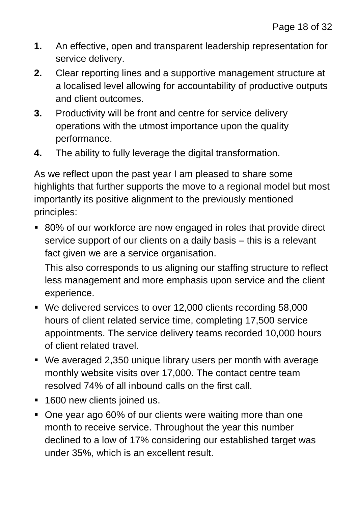- **1.** An effective, open and transparent leadership representation for service delivery.
- **2.** Clear reporting lines and a supportive management structure at a localised level allowing for accountability of productive outputs and client outcomes.
- **3.** Productivity will be front and centre for service delivery operations with the utmost importance upon the quality performance.
- **4.** The ability to fully leverage the digital transformation.

As we reflect upon the past year I am pleased to share some highlights that further supports the move to a regional model but most importantly its positive alignment to the previously mentioned principles:

 80% of our workforce are now engaged in roles that provide direct service support of our clients on a daily basis – this is a relevant fact given we are a service organisation.

This also corresponds to us aligning our staffing structure to reflect less management and more emphasis upon service and the client experience.

- We delivered services to over 12,000 clients recording 58,000 hours of client related service time, completing 17,500 service appointments. The service delivery teams recorded 10,000 hours of client related travel.
- We averaged 2,350 unique library users per month with average monthly website visits over 17,000. The contact centre team resolved 74% of all inbound calls on the first call.
- **1600 new clients joined us.**
- One year ago 60% of our clients were waiting more than one month to receive service. Throughout the year this number declined to a low of 17% considering our established target was under 35%, which is an excellent result.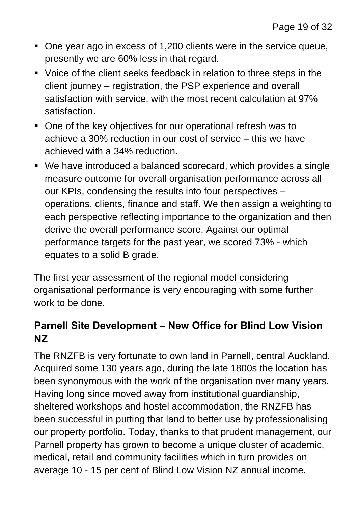- One year ago in excess of 1,200 clients were in the service queue, presently we are 60% less in that regard.
- Voice of the client seeks feedback in relation to three steps in the client journey – registration, the PSP experience and overall satisfaction with service, with the most recent calculation at 97% satisfaction.
- One of the key objectives for our operational refresh was to achieve a 30% reduction in our cost of service – this we have achieved with a 34% reduction.
- We have introduced a balanced scorecard, which provides a single measure outcome for overall organisation performance across all our KPIs, condensing the results into four perspectives – operations, clients, finance and staff. We then assign a weighting to each perspective reflecting importance to the organization and then derive the overall performance score. Against our optimal performance targets for the past year, we scored 73% - which equates to a solid B grade.

The first year assessment of the regional model considering organisational performance is very encouraging with some further work to be done.

## **Parnell Site Development – New Office for Blind Low Vision NZ**

The RNZFB is very fortunate to own land in Parnell, central Auckland. Acquired some 130 years ago, during the late 1800s the location has been synonymous with the work of the organisation over many years. Having long since moved away from institutional guardianship, sheltered workshops and hostel accommodation, the RNZFB has been successful in putting that land to better use by professionalising our property portfolio. Today, thanks to that prudent management, our Parnell property has grown to become a unique cluster of academic, medical, retail and community facilities which in turn provides on average 10 - 15 per cent of Blind Low Vision NZ annual income.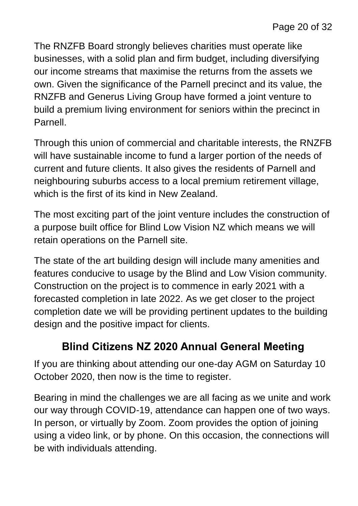The RNZFB Board strongly believes charities must operate like businesses, with a solid plan and firm budget, including diversifying our income streams that maximise the returns from the assets we own. Given the significance of the Parnell precinct and its value, the RNZFB and Generus Living Group have formed a joint venture to build a premium living environment for seniors within the precinct in Parnell.

Through this union of commercial and charitable interests, the RNZFB will have sustainable income to fund a larger portion of the needs of current and future clients. It also gives the residents of Parnell and neighbouring suburbs access to a local premium retirement village, which is the first of its kind in New Zealand.

The most exciting part of the joint venture includes the construction of a purpose built office for Blind Low Vision NZ which means we will retain operations on the Parnell site.

The state of the art building design will include many amenities and features conducive to usage by the Blind and Low Vision community. Construction on the project is to commence in early 2021 with a forecasted completion in late 2022. As we get closer to the project completion date we will be providing pertinent updates to the building design and the positive impact for clients.

## **Blind Citizens NZ 2020 Annual General Meeting**

If you are thinking about attending our one-day AGM on Saturday 10 October 2020, then now is the time to register.

Bearing in mind the challenges we are all facing as we unite and work our way through COVID-19, attendance can happen one of two ways. In person, or virtually by Zoom. Zoom provides the option of joining using a video link, or by phone. On this occasion, the connections will be with individuals attending.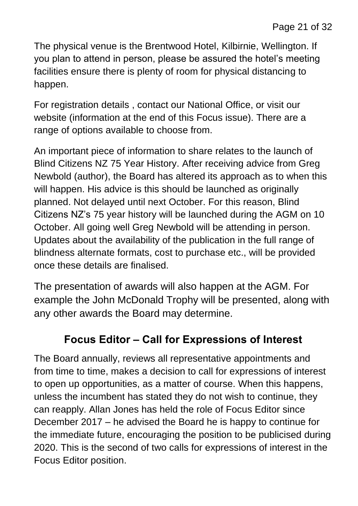The physical venue is the Brentwood Hotel, Kilbirnie, Wellington. If you plan to attend in person, please be assured the hotel's meeting facilities ensure there is plenty of room for physical distancing to happen.

For registration details , contact our National Office, or visit our website (information at the end of this Focus issue). There are a range of options available to choose from.

An important piece of information to share relates to the launch of Blind Citizens NZ 75 Year History. After receiving advice from Greg Newbold (author), the Board has altered its approach as to when this will happen. His advice is this should be launched as originally planned. Not delayed until next October. For this reason, Blind Citizens NZ's 75 year history will be launched during the AGM on 10 October. All going well Greg Newbold will be attending in person. Updates about the availability of the publication in the full range of blindness alternate formats, cost to purchase etc., will be provided once these details are finalised.

The presentation of awards will also happen at the AGM. For example the John McDonald Trophy will be presented, along with any other awards the Board may determine.

## **Focus Editor – Call for Expressions of Interest**

The Board annually, reviews all representative appointments and from time to time, makes a decision to call for expressions of interest to open up opportunities, as a matter of course. When this happens, unless the incumbent has stated they do not wish to continue, they can reapply. Allan Jones has held the role of Focus Editor since December 2017 – he advised the Board he is happy to continue for the immediate future, encouraging the position to be publicised during 2020. This is the second of two calls for expressions of interest in the Focus Editor position.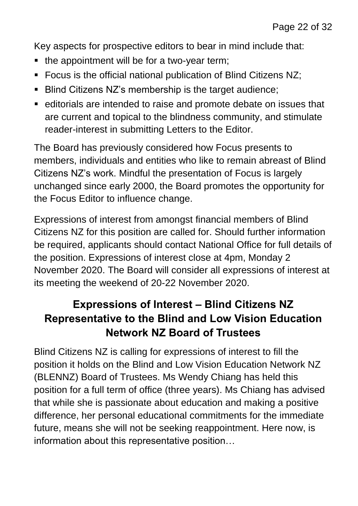Key aspects for prospective editors to bear in mind include that:

- the appointment will be for a two-year term;
- Focus is the official national publication of Blind Citizens NZ;
- Blind Citizens NZ's membership is the target audience;
- editorials are intended to raise and promote debate on issues that are current and topical to the blindness community, and stimulate reader-interest in submitting Letters to the Editor.

The Board has previously considered how Focus presents to members, individuals and entities who like to remain abreast of Blind Citizens NZ's work. Mindful the presentation of Focus is largely unchanged since early 2000, the Board promotes the opportunity for the Focus Editor to influence change.

Expressions of interest from amongst financial members of Blind Citizens NZ for this position are called for. Should further information be required, applicants should contact National Office for full details of the position. Expressions of interest close at 4pm, Monday 2 November 2020. The Board will consider all expressions of interest at its meeting the weekend of 20-22 November 2020.

## **Expressions of Interest – Blind Citizens NZ Representative to the Blind and Low Vision Education Network NZ Board of Trustees**

Blind Citizens NZ is calling for expressions of interest to fill the position it holds on the Blind and Low Vision Education Network NZ (BLENNZ) Board of Trustees. Ms Wendy Chiang has held this position for a full term of office (three years). Ms Chiang has advised that while she is passionate about education and making a positive difference, her personal educational commitments for the immediate future, means she will not be seeking reappointment. Here now, is information about this representative position…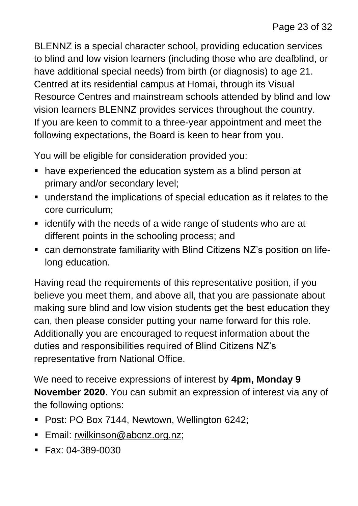BLENNZ is a special character school, providing education services to blind and low vision learners (including those who are deafblind, or have additional special needs) from birth (or diagnosis) to age 21. Centred at its residential campus at Homai, through its Visual Resource Centres and mainstream schools attended by blind and low vision learners BLENNZ provides services throughout the country. If you are keen to commit to a three-year appointment and meet the following expectations, the Board is keen to hear from you.

You will be eligible for consideration provided you:

- have experienced the education system as a blind person at primary and/or secondary level;
- understand the implications of special education as it relates to the core curriculum;
- $\blacksquare$  identify with the needs of a wide range of students who are at different points in the schooling process; and
- can demonstrate familiarity with Blind Citizens NZ's position on lifelong education.

Having read the requirements of this representative position, if you believe you meet them, and above all, that you are passionate about making sure blind and low vision students get the best education they can, then please consider putting your name forward for this role. Additionally you are encouraged to request information about the duties and responsibilities required of Blind Citizens NZ's representative from National Office.

We need to receive expressions of interest by **4pm, Monday 9 November 2020**. You can submit an expression of interest via any of the following options:

- **Post: PO Box 7144, Newtown, Wellington 6242;**
- **Email: [rwilkinson@abcnz.org.nz;](mailto:rwilkinson@abcnz.org.nz)**
- $\blacksquare$  Fax: 04-389-0030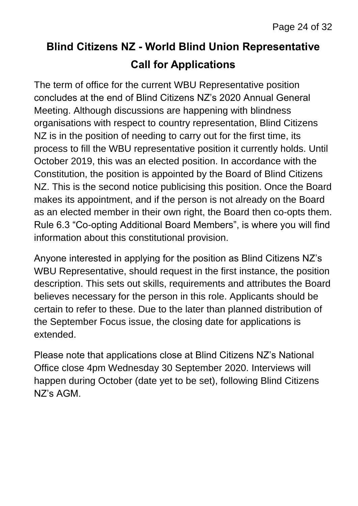## **Blind Citizens NZ - World Blind Union Representative Call for Applications**

The term of office for the current WBU Representative position concludes at the end of Blind Citizens NZ's 2020 Annual General Meeting. Although discussions are happening with blindness organisations with respect to country representation, Blind Citizens NZ is in the position of needing to carry out for the first time, its process to fill the WBU representative position it currently holds. Until October 2019, this was an elected position. In accordance with the Constitution, the position is appointed by the Board of Blind Citizens NZ. This is the second notice publicising this position. Once the Board makes its appointment, and if the person is not already on the Board as an elected member in their own right, the Board then co-opts them. Rule 6.3 "Co-opting Additional Board Members", is where you will find information about this constitutional provision.

Anyone interested in applying for the position as Blind Citizens NZ's WBU Representative, should request in the first instance, the position description. This sets out skills, requirements and attributes the Board believes necessary for the person in this role. Applicants should be certain to refer to these. Due to the later than planned distribution of the September Focus issue, the closing date for applications is extended.

Please note that applications close at Blind Citizens NZ's National Office close 4pm Wednesday 30 September 2020. Interviews will happen during October (date yet to be set), following Blind Citizens NZ's AGM.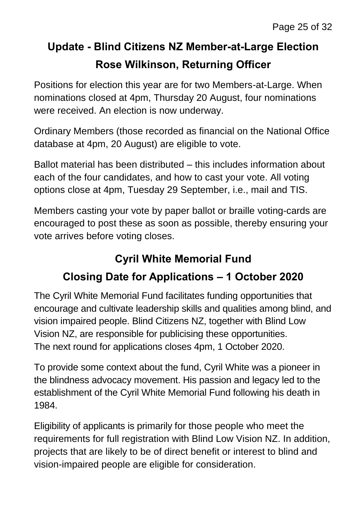## **Update - Blind Citizens NZ Member-at-Large Election Rose Wilkinson, Returning Officer**

Positions for election this year are for two Members-at-Large. When nominations closed at 4pm, Thursday 20 August, four nominations were received. An election is now underway.

Ordinary Members (those recorded as financial on the National Office database at 4pm, 20 August) are eligible to vote.

Ballot material has been distributed – this includes information about each of the four candidates, and how to cast your vote. All voting options close at 4pm, Tuesday 29 September, i.e., mail and TIS.

Members casting your vote by paper ballot or braille voting-cards are encouraged to post these as soon as possible, thereby ensuring your vote arrives before voting closes.

## **Cyril White Memorial Fund**

## **Closing Date for Applications – 1 October 2020**

The Cyril White Memorial Fund facilitates funding opportunities that encourage and cultivate leadership skills and qualities among blind, and vision impaired people. Blind Citizens NZ, together with Blind Low Vision NZ, are responsible for publicising these opportunities. The next round for applications closes 4pm, 1 October 2020.

To provide some context about the fund, Cyril White was a pioneer in the blindness advocacy movement. His passion and legacy led to the establishment of the Cyril White Memorial Fund following his death in 1984.

Eligibility of applicants is primarily for those people who meet the requirements for full registration with Blind Low Vision NZ. In addition, projects that are likely to be of direct benefit or interest to blind and vision-impaired people are eligible for consideration.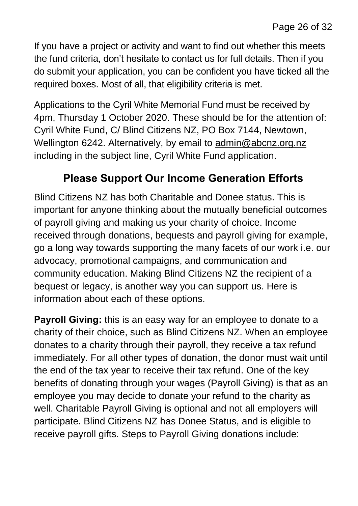If you have a project or activity and want to find out whether this meets the fund criteria, don't hesitate to contact us for full details. Then if you do submit your application, you can be confident you have ticked all the required boxes. Most of all, that eligibility criteria is met.

Applications to the Cyril White Memorial Fund must be received by 4pm, Thursday 1 October 2020. These should be for the attention of: Cyril White Fund, C/ Blind Citizens NZ, PO Box 7144, Newtown, Wellington 6242. Alternatively, by email to [admin@abcnz.org.nz](mailto:admin@abcnz.org.nz) including in the subject line, Cyril White Fund application.

#### **Please Support Our Income Generation Efforts**

Blind Citizens NZ has both Charitable and Donee status. This is important for anyone thinking about the mutually beneficial outcomes of payroll giving and making us your charity of choice. Income received through donations, bequests and payroll giving for example, go a long way towards supporting the many facets of our work i.e. our advocacy, promotional campaigns, and communication and community education. Making Blind Citizens NZ the recipient of a bequest or legacy, is another way you can support us. Here is information about each of these options.

**Payroll Giving:** this is an easy way for an employee to donate to a charity of their choice, such as Blind Citizens NZ. When an employee donates to a charity through their payroll, they receive a tax refund immediately. For all other types of donation, the donor must wait until the end of the tax year to receive their tax refund. One of the key benefits of donating through your wages (Payroll Giving) is that as an employee you may decide to donate your refund to the charity as well. Charitable Payroll Giving is optional and not all employers will participate. Blind Citizens NZ has Donee Status, and is eligible to receive payroll gifts. Steps to Payroll Giving donations include: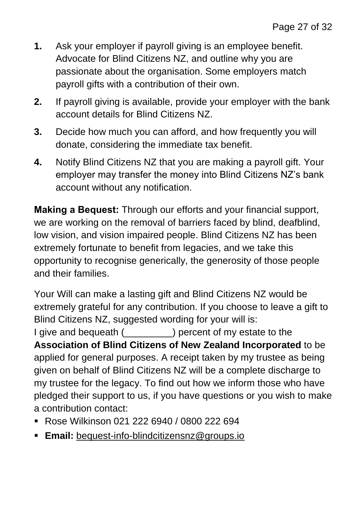- **1.** Ask your employer if payroll giving is an employee benefit. Advocate for Blind Citizens NZ, and outline why you are passionate about the organisation. Some employers match payroll gifts with a contribution of their own.
- **2.** If payroll giving is available, provide your employer with the bank account details for Blind Citizens NZ.
- **3.** Decide how much you can afford, and how frequently you will donate, considering the immediate tax benefit.
- **4.** Notify Blind Citizens NZ that you are making a payroll gift. Your employer may transfer the money into Blind Citizens NZ's bank account without any notification.

**Making a Bequest:** Through our efforts and your financial support, we are working on the removal of barriers faced by blind, deafblind, low vision, and vision impaired people. Blind Citizens NZ has been extremely fortunate to benefit from legacies, and we take this opportunity to recognise generically, the generosity of those people and their families.

Your Will can make a lasting gift and Blind Citizens NZ would be extremely grateful for any contribution. If you choose to leave a gift to Blind Citizens NZ, suggested wording for your will is:

I give and bequeath () percent of my estate to the **Association of Blind Citizens of New Zealand Incorporated** to be applied for general purposes. A receipt taken by my trustee as being given on behalf of Blind Citizens NZ will be a complete discharge to my trustee for the legacy. To find out how we inform those who have pledged their support to us, if you have questions or you wish to make a contribution contact:

- Rose Wilkinson 021 222 6940 / 0800 222 694
- **Email:** [bequest-info-blindcitizensnz@groups.io](mailto:bequest-info-blindcitizensnz@groups.io)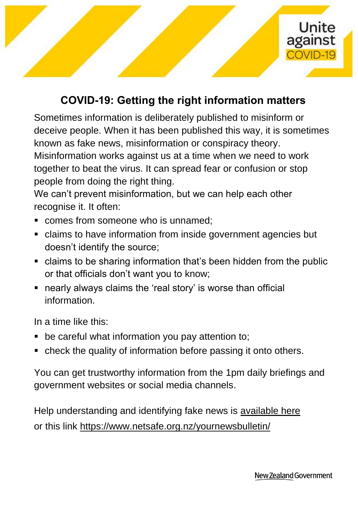

## **COVID-19: Getting the right information matters**

Sometimes information is deliberately published to misinform or deceive people. When it has been published this way, it is sometimes known as fake news, misinformation or conspiracy theory. Misinformation works against us at a time when we need to work together to beat the virus. It can spread fear or confusion or stop people from doing the right thing.

We can't prevent misinformation, but we can help each other recognise it. It often:

- **Comes from someone who is unnamed:**
- claims to have information from inside government agencies but doesn't identify the source;
- claims to be sharing information that's been hidden from the public or that officials don't want you to know;
- nearly always claims the 'real story' is worse than official information.

In a time like this:

- **•** be careful what information you pay attention to;
- check the quality of information before passing it onto others.

You can get trustworthy information from the 1pm daily briefings and government websites or social media channels.

Help understanding and identifying fake news is [available here](https://departmentoftheprimeministerandcabinet.cmail20.com/t/t-l-pkulle-etyjryuhd-h/) or this link<https://www.netsafe.org.nz/yournewsbulletin/>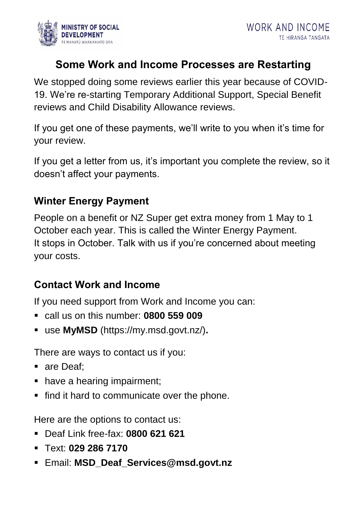

## **Some Work and Income Processes are Restarting**

We stopped doing some reviews earlier this year because of COVID-19. We're re-starting Temporary Additional Support, Special Benefit reviews and Child Disability Allowance reviews.

If you get one of these payments, we'll write to you when it's time for your review.

If you get a letter from us, it's important you complete the review, so it doesn't affect your payments.

#### **Winter Energy Payment**

People on a benefit or NZ Super get extra money from 1 May to 1 October each year. This is called the Winter Energy Payment. It stops in October. Talk with us if you're concerned about meeting your costs.

#### **Contact Work and Income**

If you need support from Work and Income you can:

- call us on this number: **0800 559 009**
- use **MyMSD** (https://my.msd.govt.nz/)**.**

There are ways to contact us if you:

- are Deaf:
- have a hearing impairment;
- find it hard to communicate over the phone.

Here are the options to contact us:

- Deaf Link free-fax: **0800 621 621**
- Text: **029 286 7170**
- Email: **MSD\_Deaf\_Services@msd.govt.nz**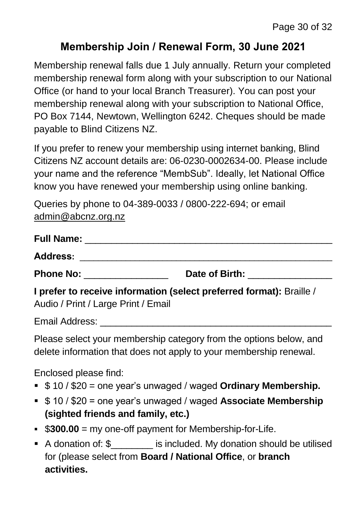## **Membership Join / Renewal Form, 30 June 2021**

Membership renewal falls due 1 July annually. Return your completed membership renewal form along with your subscription to our National Office (or hand to your local Branch Treasurer). You can post your membership renewal along with your subscription to National Office, PO Box 7144, Newtown, Wellington 6242. Cheques should be made payable to Blind Citizens NZ.

If you prefer to renew your membership using internet banking, Blind Citizens NZ account details are: 06-0230-0002634-00. Please include your name and the reference "MembSub". Ideally, let National Office know you have renewed your membership using online banking.

Queries by phone to 04-389-0033 / 0800-222-694; or email [admin@abcnz.org.nz](mailto:admin@abcnz.org.nz)

| <b>Full Name:</b>                                                                                                                                                                                                                   |                |  |
|-------------------------------------------------------------------------------------------------------------------------------------------------------------------------------------------------------------------------------------|----------------|--|
| <b>Address:</b>                                                                                                                                                                                                                     |                |  |
| <b>Phone No:</b> The contract of the contract of the contract of the contract of the contract of the contract of the contract of the contract of the contract of the contract of the contract of the contract of the contract of th | Date of Birth: |  |
| I prefer to receive information (select preferred format): Braille /                                                                                                                                                                |                |  |

Audio / Print / Large Print / Email

Email Address:

Please select your membership category from the options below, and delete information that does not apply to your membership renewal.

Enclosed please find:

- \$ 10 / \$20 = one year's unwaged / waged **Ordinary Membership.**
- \$ 10 / \$20 = one year's unwaged / waged **Associate Membership (sighted friends and family, etc.)**
- **\$300.00** = my one-off payment for Membership-for-Life.
- A donation of: \$ is included. My donation should be utilised for (please select from **Board / National Office**, or **branch activities.**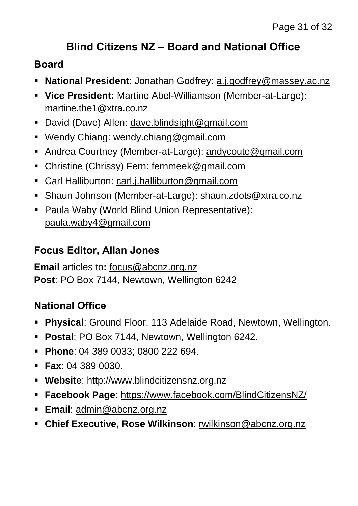## **Blind Citizens NZ – Board and National Office**

## **Board**

- **National President**: Jonathan Godfrey: [a.j.godfrey@massey.ac.nz](mailto:a.j.godfrey@massey.ac.nz)
- **Vice President:** Martine Abel-Williamson (Member-at-Large): [martine.the1@xtra.co.nz](mailto:martine.the1@xtra.co.nz)
- David (Dave) Allen: [dave.blindsight@gmail.com](mailto:dave.blindsight@gmail.com)
- Wendy Chiang: [wendy.chiang@gmail.com](mailto:wendy.chiang@gmail.com)
- Andrea Courtney (Member-at-Large): [andycoute@gmail.com](mailto:andycoute@gmail.com)
- Christine (Chrissy) Fern: [fernmeek@gmail.com](mailto:fernmeek@gmail.com)
- Carl Halliburton: [carl.j.halliburton@gmail.com](mailto:carl.j.halliburton@gmail.com)
- Shaun Johnson (Member-at-Large): [shaun.zdots@xtra.co.nz](mailto:shaun.zdots@xtra.co.nz%20co.nz)
- Paula Waby (World Blind Union Representative): [paula.waby4@gmail.com](mailto:paula.waby4@gmail.com)

## **Focus Editor, Allan Jones**

**Email** articles to**:** [focus@abcnz.org.nz](mailto:focus@abcnz.org.nz) **Post**: PO Box 7144, Newtown, Wellington 6242

## **National Office**

- **Physical**: Ground Floor, 113 Adelaide Road, Newtown, Wellington.
- **Postal**: PO Box 7144, Newtown, Wellington 6242.
- **Phone: 04 389 0033: 0800 222 694.**
- **Fax**: 04 389 0030.
- **Website**: [http://www.blindcitizensnz.org.nz](http://www.blindcitizensnz.org.nz/)
- **Facebook Page**:<https://www.facebook.com/BlindCitizensNZ/>
- **Email**: [admin@abcnz.org.nz](mailto:admin@abcnz.org.nz)
- **Chief Executive, Rose Wilkinson**: [rwilkinson@abcnz.org.nz](mailto:rwilkinson@abcnz.org.nz)